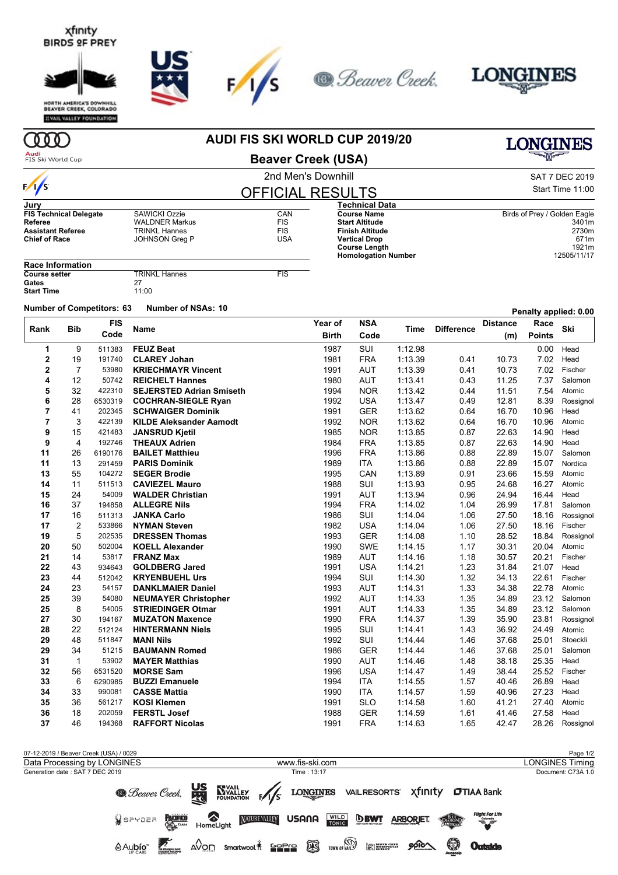## xfinity **BIRDS OF PREY**





**EVAIL VALLEY FOUNDATION** 

## **AUDI FIS SKI WORLD CUP 2019/20**



╱

2nd Men's Downhill **Beaver Creek (USA)**

| SAT 7 DEC 2019   |
|------------------|
| Start Time 11:00 |

**LONGINES** 

| $\sqrt{s}$                    |                       | <b>OFFICIAL RESULTS</b> |                            | Start Time 11:00             |  |  |
|-------------------------------|-----------------------|-------------------------|----------------------------|------------------------------|--|--|
| Jury                          |                       |                         | <b>Technical Data</b>      |                              |  |  |
| <b>FIS Technical Delegate</b> | SAWICKI Ozzie         | CAN                     | <b>Course Name</b>         | Birds of Prey / Golden Eagle |  |  |
| Referee                       | <b>WALDNER Markus</b> | <b>FIS</b>              | <b>Start Altitude</b>      | 3401m                        |  |  |
| <b>Assistant Referee</b>      | TRINKL Hannes         | <b>FIS</b>              | <b>Finish Altitude</b>     | 2730m                        |  |  |
| <b>Chief of Race</b>          | JOHNSON Greg P        | <b>USA</b>              | <b>Vertical Drop</b>       | 671m                         |  |  |
|                               |                       |                         | <b>Course Length</b>       | 1921m                        |  |  |
|                               |                       |                         | <b>Homologation Number</b> | 12505/11/17                  |  |  |
| <b>Paco Information</b>       |                       |                         |                            |                              |  |  |

| Race Information     |                      |     |
|----------------------|----------------------|-----|
| <b>Course setter</b> | <b>TRINKL Hannes</b> | FIS |
| Gates                | 27                   |     |
| Start Time           | 11:00                |     |

**Number of Competitors: <sup>63</sup> Number of NSAs: <sup>10</sup> Penalty applied: 0.00**

|                         |                         | <b>FIS</b>        |                                              | Year of      | <b>NSA</b>               |                    | <b>Difference</b> | <b>Distance</b> | i viiuity uppiivu. v.vt<br>Race |                 |
|-------------------------|-------------------------|-------------------|----------------------------------------------|--------------|--------------------------|--------------------|-------------------|-----------------|---------------------------------|-----------------|
| Rank                    | <b>Bib</b>              | Code              | <b>Name</b>                                  | <b>Birth</b> | Code                     | Time               |                   | (m)             | <b>Points</b>                   | Ski             |
| 1                       | 9                       | 511383            | <b>FEUZ Beat</b>                             | 1987         | SUI                      | 1:12.98            |                   |                 | 0.00                            | Head            |
| $\mathbf 2$             | 19                      | 191740            | <b>CLAREY Johan</b>                          | 1981         | <b>FRA</b>               | 1:13.39            | 0.41              | 10.73           | 7.02                            | Head            |
| $\overline{\mathbf{2}}$ | $\overline{7}$          | 53980             | <b>KRIECHMAYR Vincent</b>                    | 1991         | <b>AUT</b>               | 1:13.39            | 0.41              | 10.73           | 7.02                            | Fischer         |
| 4                       | 12                      | 50742             | <b>REICHELT Hannes</b>                       | 1980         | <b>AUT</b>               | 1:13.41            | 0.43              | 11.25           | 7.37                            | Salomon         |
| 5                       | 32                      | 422310            | <b>SEJERSTED Adrian Smiseth</b>              | 1994         | <b>NOR</b>               | 1:13.42            | 0.44              | 11.51           | 7.54                            | Atomic          |
| 6                       | 28                      | 6530319           | <b>COCHRAN-SIEGLE Ryan</b>                   | 1992         | <b>USA</b>               | 1:13.47            | 0.49              | 12.81           | 8.39                            | Rossignol       |
| 7                       | 41                      | 202345            | <b>SCHWAIGER Dominik</b>                     | 1991         | <b>GER</b>               | 1:13.62            | 0.64              | 16.70           | 10.96                           | Head            |
| $\overline{7}$          | 3                       | 422139            | <b>KILDE Aleksander Aamodt</b>               | 1992         | <b>NOR</b>               | 1:13.62            | 0.64              | 16.70           | 10.96                           | Atomic          |
| 9                       | 15                      | 421483            | <b>JANSRUD Kjetil</b>                        | 1985         | <b>NOR</b>               | 1:13.85            | 0.87              | 22.63           | 14.90                           | Head            |
| 9                       | 4                       | 192746            | <b>THEAUX Adrien</b>                         | 1984         | <b>FRA</b>               | 1:13.85            | 0.87              | 22.63           | 14.90                           | Head            |
| 11                      | 26                      | 6190176           | <b>BAILET Matthieu</b>                       | 1996         | <b>FRA</b>               | 1:13.86            | 0.88              | 22.89           | 15.07                           | Salomon         |
| 11                      | 13                      | 291459            | <b>PARIS Dominik</b>                         | 1989         | <b>ITA</b>               | 1:13.86            | 0.88              | 22.89           | 15.07                           | Nordica         |
| 13                      | 55                      | 104272            | <b>SEGER Brodie</b>                          | 1995         | CAN                      | 1:13.89            | 0.91              | 23.66           | 15.59                           | Atomic          |
| 14                      | 11                      | 511513            | <b>CAVIEZEL Mauro</b>                        | 1988         | SUI                      | 1:13.93            | 0.95              | 24.68           | 16.27                           | Atomic          |
| 15                      | 24                      | 54009             | <b>WALDER Christian</b>                      | 1991         | <b>AUT</b>               | 1:13.94            | 0.96              | 24.94           | 16.44                           | Head            |
| 16                      | 37                      | 194858            | <b>ALLEGRE Nils</b>                          | 1994         | <b>FRA</b>               | 1:14.02            | 1.04              | 26.99           | 17.81                           | Salomon         |
| 17                      | 16                      | 511313            | <b>JANKA Carlo</b>                           | 1986         | SUI                      | 1:14.04            | 1.06              | 27.50           | 18.16                           | Rossignol       |
| 17                      | $\overline{\mathbf{c}}$ | 533866            | <b>NYMAN Steven</b>                          | 1982         | <b>USA</b>               | 1:14.04            | 1.06              | 27.50           | 18.16                           | Fischer         |
| 19                      | 5                       | 202535            | <b>DRESSEN Thomas</b>                        | 1993         | <b>GER</b>               | 1:14.08            | 1.10              | 28.52           | 18.84                           | Rossignol       |
| 20                      | 50                      | 502004            | <b>KOELL Alexander</b>                       | 1990         | <b>SWE</b>               | 1:14.15            | 1.17              | 30.31           | 20.04                           | Atomic          |
| 21                      | 14                      | 53817             | <b>FRANZ Max</b>                             | 1989         | <b>AUT</b>               | 1:14.16            | 1.18              | 30.57           | 20.21                           | Fischer         |
| 22                      | 43                      | 934643            | <b>GOLDBERG Jared</b>                        | 1991         | <b>USA</b>               | 1:14.21            | 1.23              | 31.84           | 21.07                           | Head            |
| 23                      | 44                      | 512042            | <b>KRYENBUEHL Urs</b>                        | 1994         | SUI                      | 1:14.30            | 1.32              | 34.13           | 22.61                           | Fischer         |
| 24                      | 23                      | 54157             | <b>DANKLMAIER Daniel</b>                     | 1993         | <b>AUT</b>               | 1:14.31            | 1.33              | 34.38           | 22.78                           | Atomic          |
| 25                      | 39                      | 54080             | <b>NEUMAYER Christopher</b>                  | 1992         | <b>AUT</b>               | 1:14.33            | 1.35              | 34.89           | 23.12                           | Salomon         |
| 25                      | 8                       | 54005             | <b>STRIEDINGER Otmar</b>                     | 1991         | <b>AUT</b>               | 1:14.33            | 1.35              | 34.89           | 23.12                           | Salomon         |
| 27                      | 30                      | 194167            | <b>MUZATON Maxence</b>                       | 1990         | <b>FRA</b>               | 1:14.37            | 1.39              | 35.90           | 23.81                           | Rossignol       |
| 28                      | 22                      | 512124            | <b>HINTERMANN Niels</b>                      | 1995         | SUI                      | 1:14.41            | 1.43              | 36.92           | 24.49                           | Atomic          |
| 29                      | 48                      | 511847            | <b>MANI Nils</b>                             | 1992         | <b>SUI</b>               | 1:14.44            | 1.46              | 37.68           | 25.01                           | Stoeckli        |
| 29                      | 34<br>$\mathbf{1}$      | 51215<br>53902    | <b>BAUMANN Romed</b>                         | 1986<br>1990 | <b>GER</b>               | 1:14.44<br>1:14.46 | 1.46<br>1.48      | 37.68<br>38.18  | 25.01<br>25.35                  | Salomon<br>Head |
| 31                      |                         | 6531520           | <b>MAYER Matthias</b><br><b>MORSE Sam</b>    |              | <b>AUT</b>               |                    |                   |                 |                                 | Fischer         |
| 32<br>33                | 56                      |                   |                                              | 1996<br>1994 | <b>USA</b><br><b>ITA</b> | 1:14.47            | 1.49              | 38.44           | 25.52<br>26.89                  |                 |
|                         | 6<br>33                 | 6290985<br>990081 | <b>BUZZI Emanuele</b><br><b>CASSE Mattia</b> | 1990         | <b>ITA</b>               | 1:14.55            | 1.57              | 40.46           |                                 | Head            |
| 34<br>35                | 36                      | 561217            | <b>KOSI Klemen</b>                           | 1991         | <b>SLO</b>               | 1:14.57<br>1:14.58 | 1.59<br>1.60      | 40.96<br>41.21  | 27.23<br>27.40                  | Head            |
| 36                      | 18                      | 202059            | <b>FERSTL Josef</b>                          | 1988         | <b>GER</b>               | 1:14.59            | 1.61              | 41.46           | 27.58                           | Atomic<br>Head  |
| 37                      | 46                      | 194368            | <b>RAFFORT Nicolas</b>                       | 1991         | <b>FRA</b>               | 1:14.63            | 1.65              | 42.47           | 28.26                           | Rossignol       |
|                         |                         |                   |                                              |              |                          |                    |                   |                 |                                 |                 |

| 07-12-2019 / Beaver Creek (USA) / 0029 |                                                                                                                             | Page 1/2               |
|----------------------------------------|-----------------------------------------------------------------------------------------------------------------------------|------------------------|
| Data Processing by LONGINES            | www.fis-ski.com                                                                                                             | <b>LONGINES Timing</b> |
| Generation date: SAT 7 DEC 2019        | Time: 13:17                                                                                                                 | Document: C73A 1.0     |
|                                        | <b>B.</b> Beaver Creek. <b>SEXUALLY EXPLAINED LONGINES</b> VAILRESORTS Xfinity <b>CITIAA</b> Bank                           |                        |
|                                        | Flight For Life<br><b>WSPYDER PACIFIC CONTROLLIGATE MATERIALITY</b> USANA<br>WILD <b>BBWT</b> ARBORIET.<br>DAMART           |                        |
| $A_{\text{UP}}$ CARE                   | TOWN OF VALUE (SEE INTERNATIONAL<br>0<br>$\triangle$ On smartwool $*$ 2222 $\circledR$<br>$900 \triangle$<br><b>Outside</b> |                        |